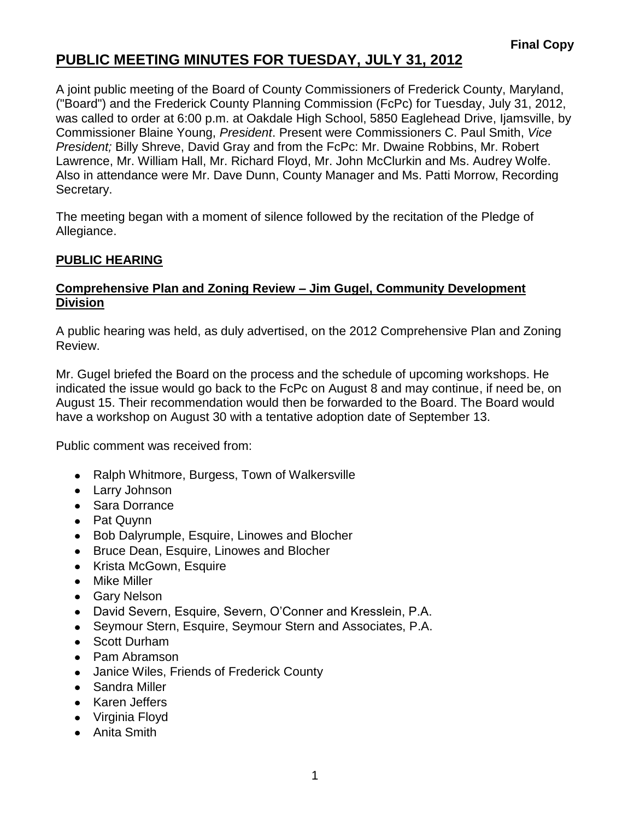## **PUBLIC MEETING MINUTES FOR TUESDAY, JULY 31, 2012**

A joint public meeting of the Board of County Commissioners of Frederick County, Maryland, ("Board") and the Frederick County Planning Commission (FcPc) for Tuesday, July 31, 2012, was called to order at 6:00 p.m. at Oakdale High School, 5850 Eaglehead Drive, Ijamsville, by Commissioner Blaine Young, *President*. Present were Commissioners C. Paul Smith, *Vice President;* Billy Shreve, David Gray and from the FcPc: Mr. Dwaine Robbins, Mr. Robert Lawrence, Mr. William Hall, Mr. Richard Floyd, Mr. John McClurkin and Ms. Audrey Wolfe. Also in attendance were Mr. Dave Dunn, County Manager and Ms. Patti Morrow, Recording Secretary.

The meeting began with a moment of silence followed by the recitation of the Pledge of Allegiance.

## **PUBLIC HEARING**

### **Comprehensive Plan and Zoning Review – Jim Gugel, Community Development Division**

A public hearing was held, as duly advertised, on the 2012 Comprehensive Plan and Zoning Review.

Mr. Gugel briefed the Board on the process and the schedule of upcoming workshops. He indicated the issue would go back to the FcPc on August 8 and may continue, if need be, on August 15. Their recommendation would then be forwarded to the Board. The Board would have a workshop on August 30 with a tentative adoption date of September 13.

Public comment was received from:

- Ralph Whitmore, Burgess, Town of Walkersville
- Larry Johnson
- Sara Dorrance
- Pat Quynn
- Bob Dalyrumple, Esquire, Linowes and Blocher
- Bruce Dean, Esquire, Linowes and Blocher
- Krista McGown, Esquire
- Mike Miller
- Gary Nelson
- David Severn, Esquire, Severn, O'Conner and Kresslein, P.A.
- Seymour Stern, Esquire, Seymour Stern and Associates, P.A.
- Scott Durham
- Pam Abramson
- Janice Wiles, Friends of Frederick County
- Sandra Miller
- Karen Jeffers
- Virginia Floyd
- Anita Smith